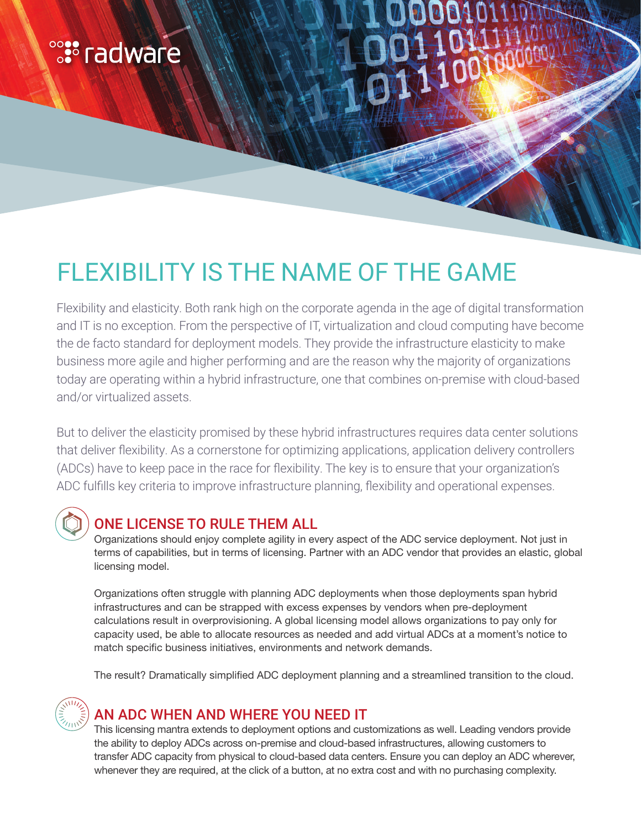# **<sup>e</sup>:** radware

# FLEXIBILITY IS THE NAME OF THE GAME

Flexibility and elasticity. Both rank high on the corporate agenda in the age of digital transformation and IT is no exception. From the perspective of IT, virtualization and cloud computing have become the de facto standard for deployment models. They provide the infrastructure elasticity to make business more agile and higher performing and are the reason why the majority of organizations today are operating within a hybrid infrastructure, one that combines on-premise with cloud-based and/or virtualized assets.

But to deliver the elasticity promised by these hybrid infrastructures requires data center solutions that deliver flexibility. As a cornerstone for optimizing applications, application delivery controllers (ADCs) have to keep pace in the race for flexibility. The key is to ensure that your organization's ADC fulfills key criteria to improve infrastructure planning, flexibility and operational expenses.

### ONE LICENSE TO RULE THEM ALL

Organizations should enjoy complete agility in every aspect of the ADC service deployment. Not just in terms of capabilities, but in terms of licensing. Partner with an ADC vendor that provides an elastic, global licensing model.

Organizations often struggle with planning ADC deployments when those deployments span hybrid infrastructures and can be strapped with excess expenses by vendors when pre-deployment calculations result in overprovisioning. A global licensing model allows organizations to pay only for capacity used, be able to allocate resources as needed and add virtual ADCs at a moment's notice to match specific business initiatives, environments and network demands.

The result? Dramatically simplified ADC deployment planning and a streamlined transition to the cloud.



## AN ADC WHEN AND WHERE YOU NEED IT

This licensing mantra extends to deployment options and customizations as well. Leading vendors provide the ability to deploy ADCs across on-premise and cloud-based infrastructures, allowing customers to transfer ADC capacity from physical to cloud-based data centers. Ensure you can deploy an ADC wherever, whenever they are required, at the click of a button, at no extra cost and with no purchasing complexity.